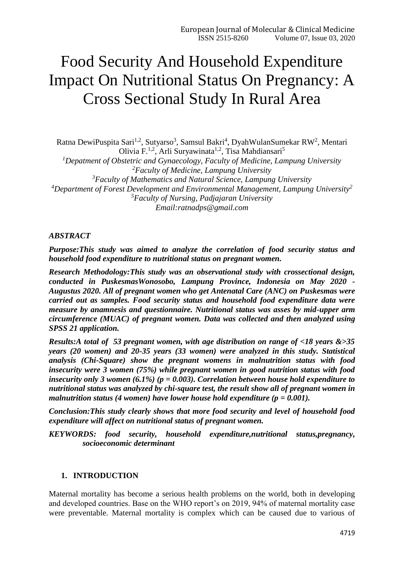# Food Security And Household Expenditure Impact On Nutritional Status On Pregnancy: A Cross Sectional Study In Rural Area

Ratna DewiPuspita Sari<sup>1,2</sup>, Sutyarso<sup>3</sup>, Samsul Bakri<sup>4</sup>, DyahWulanSumekar RW<sup>2</sup>, Mentari Olivia F.<sup>1,2</sup>, Arli Suryawinata<sup>1,2</sup>, Tisa Mahdiansari<sup>5</sup> *Depatment of Obstetric and Gynaecology, Faculty of Medicine, Lampung University Faculty of Medicine, Lampung University Faculty of Mathematics and Natural Science, Lampung University Department of Forest Development and Environmental Management, Lampung University<sup>2</sup> Faculty of Nursing, Padjajaran University Email[:ratnadps@gmail.com](mailto:ratnadps@gmail.com)*

#### *ABSTRACT*

*Purpose:This study was aimed to analyze the correlation of food security status and household food expenditure to nutritional status on pregnant women.*

*Research Methodology:This study was an observational study with crossectional design, conducted in PuskesmasWonosobo, Lampung Province, Indonesia on May 2020 - Augustus 2020. All of pregnant women who get Antenatal Care (ANC) on Puskesmas were carried out as samples. Food security status and household food expenditure data were measure by anamnesis and questionnaire. Nutritional status was asses by mid-upper arm circumference (MUAC) of pregnant women. Data was collected and then analyzed using SPSS 21 application.* 

*Results:A total of 53 pregnant women, with age distribution on range of <18 years &>35 years (20 women) and 20-35 years (33 women) were analyzed in this study. Statistical analysis (Chi-Square) show the pregnant womens in malnutrition status with food insecurity were 3 women (75%) while pregnant women in good nutrition status with food insecurity only 3 women (6.1%) (p = 0.003). Correlation between house hold expenditure to nutritional status was analyzed by chi-square test, the result show all of pregnant women in malnutrition status (4 women) have lower house hold expenditure (p = 0.001).* 

*Conclusion:This study clearly shows that more food security and level of household food expenditure will affect on nutritional status of pregnant women.*

*KEYWORDS: food security, household expenditure,nutritional status,pregnancy, socioeconomic determinant*

#### **1. INTRODUCTION**

Maternal mortality has become a serious health problems on the world, both in developing and developed countries. Base on the WHO report's on 2019, 94% of maternal mortality case were preventable. Maternal mortality is complex which can be caused due to various of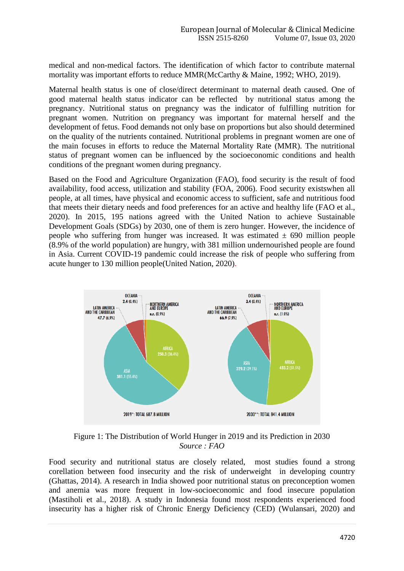medical and non-medical factors. The identification of which factor to contribute maternal mortality was important efforts to reduce MMR(McCarthy & Maine, 1992; WHO, 2019).

Maternal health status is one of close/direct determinant to maternal death caused. One of good maternal health status indicator can be reflected by nutritional status among the pregnancy. Nutritional status on pregnancy was the indicator of fulfilling nutrition for pregnant women. Nutrition on pregnancy was important for maternal herself and the development of fetus. Food demands not only base on proportions but also should determined on the quality of the nutrients contained. Nutritional problems in pregnant women are one of the main focuses in efforts to reduce the Maternal Mortality Rate (MMR). The nutritional status of pregnant women can be influenced by the socioeconomic conditions and health conditions of the pregnant women during pregnancy.

Based on the Food and Agriculture Organization (FAO), food security is the result of food availability, food access, utilization and stability (FOA, 2006). Food security existswhen all people, at all times, have physical and economic access to sufficient, safe and nutritious food that meets their dietary needs and food preferences for an active and healthy life (FAO et al., 2020). In 2015, 195 nations agreed with the United Nation to achieve Sustainable Development Goals (SDGs) by 2030, one of them is zero hunger. However, the incidence of people who suffering from hunger was increased. It was estimated  $\pm$  690 million people (8.9% of the world population) are hungry, with 381 million undernourished people are found in Asia. Current COVID-19 pandemic could increase the risk of people who suffering from acute hunger to 130 million people(United Nation, 2020).



Figure 1: The Distribution of World Hunger in 2019 and its Prediction in 2030 *Source : FAO*

Food security and nutritional status are closely related, most studies found a strong corellation between food insecurity and the risk of underweight in developing country (Ghattas, 2014). A research in India showed poor nutritional status on preconception women and anemia was more frequent in low-socioeconomic and food insecure population (Mastiholi et al., 2018). A study in Indonesia found most respondents experienced food insecurity has a higher risk of Chronic Energy Deficiency (CED) (Wulansari, 2020) and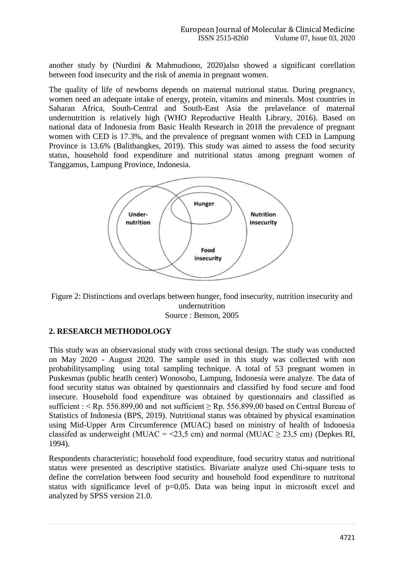another study by (Nurdini & Mahmudiono, 2020)also showed a significant corellation between food insecurity and the risk of anemia in pregnant women.

The quality of life of newborns depends on maternal nutrional status. During pregnancy, women need an adequate intake of energy, protein, vitamins and minerals. Most countries in Saharan Africa, South-Central and South-East Asia the prelavelance of maternal undernutrition is relatively high (WHO Reproductive Health Library, 2016). Based on national data of Indonesia from Basic Health Research in 2018 the prevalence of pregnant women with CED is 17.3%, and the prevalence of pregnant women with CED in Lampung Province is 13.6% (Balitbangkes, 2019). This study was aimed to assess the food security status, household food expenditure and nutritional status among pregnant women of Tanggamus, Lampung Province, Indonesia.



Figure 2: Distinctions and overlaps between hunger, food insecurity, nutrition insecurity and undernutrition Source : Benson, 2005

## **2. RESEARCH METHODOLOGY**

This study was an observasional study with cross sectional design. The study was conducted on May 2020 - August 2020. The sample used in this study was collected with non probabilitysampling using total sampling technique. A total of 53 pregnant women in Puskesmas (public heatlh center) Wonosobo, Lampung, Indonesia were analyze. The data of food security status was obtained by questionnairs and classified by food secure and food insecure. Household food expenditure was obtained by questionnairs and classified as sufficient : < Rp. 556.899,00 and not sufficient  $\geq$  Rp. 556.899,00 based on Central Bureau of Statistics of Indonesia (BPS, 2019). Nutritional status was obtained by physical examination using Mid-Upper Arm Circumference (MUAC) based on ministry of health of Indonesia classifed as underweight (MUAC =  $\leq$ 23.5 cm) and normal (MUAC > 23.5 cm) (Depkes RI, 1994).

Respondents characteristic; household food expenditure, food securitry status and nutritional status were presented as descriptive statistics. Bivariate analyze used Chi-square tests to define the correlation between food security and household food expenditure to nutritonal status with significance level of  $p=0.05$ . Data was being input in microsoft excel and analyzed by SPSS version 21.0.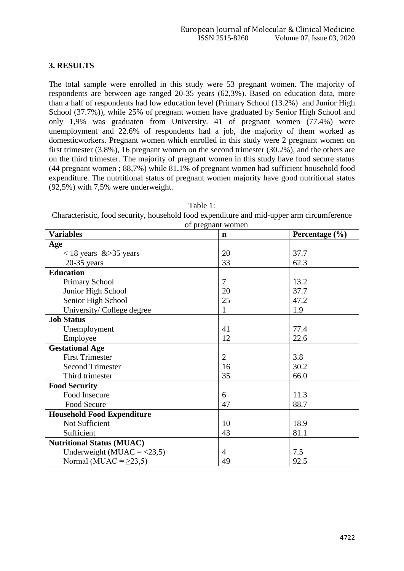## **3. RESULTS**

The total sample were enrolled in this study were 53 pregnant women. The majority of respondents are between age ranged 20-35 years (62,3%). Based on education data, more than a half of respondents had low education level (Primary School (13.2%) and Junior High School (37.7%)), while 25% of pregnant women have graduated by Senior High School and only 1,9% was graduaten from University. 41 of pregnant women (77.4%) were unemployment and 22.6% of respondents had a job, the majority of them worked as domesticworkers. Pregnant women which enrolled in this study were 2 pregnant women on first trimester (3.8%), 16 pregnant women on the second trimester (30.2%), and the others are on the third trimester. The majority of pregnant women in this study have food secure status (44 pregnant women ; 88,7%) while 81,1% of pregnant women had sufficient household food expenditure. The nutrtitional status of pregnant women majority have good nutritional status (92,5%) with 7,5% were underweight.

| Table 1:                                                                                  |
|-------------------------------------------------------------------------------------------|
| Characteristic, food security, household food expenditure and mid-upper arm circumference |
| of pregnant women                                                                         |

| <b>Variables</b>                  | or prognam women<br>n | Percentage $(\% )$ |
|-----------------------------------|-----------------------|--------------------|
| Age                               |                       |                    |
| $<$ 18 years & > 35 years         | 20                    | 37.7               |
| $20-35$ years                     | 33                    | 62.3               |
| <b>Education</b>                  |                       |                    |
| <b>Primary School</b>             | 7                     | 13.2               |
| Junior High School                | 20                    | 37.7               |
| Senior High School                | 25                    | 47.2               |
| University/College degree         | 1                     | 1.9                |
| <b>Job Status</b>                 |                       |                    |
| Unemployment                      | 41                    | 77.4               |
| Employee                          | 12                    | 22.6               |
| <b>Gestational Age</b>            |                       |                    |
| <b>First Trimester</b>            | $\overline{2}$        | 3.8                |
| <b>Second Trimester</b>           | 16                    | 30.2               |
| Third trimester                   | 35                    | 66.0               |
| <b>Food Security</b>              |                       |                    |
| Food Insecure                     | 6                     | 11.3               |
| Food Secure                       | 47                    | 88.7               |
| <b>Household Food Expenditure</b> |                       |                    |
| Not Sufficient                    | 10                    | 18.9               |
| Sufficient                        | 43                    | 81.1               |
| <b>Nutritional Status (MUAC)</b>  |                       |                    |
| Underweight (MUAC = $<$ 23,5)     | 4                     | 7.5                |
| Normal (MUAC = $\geq$ 23,5)       | 49                    | 92.5               |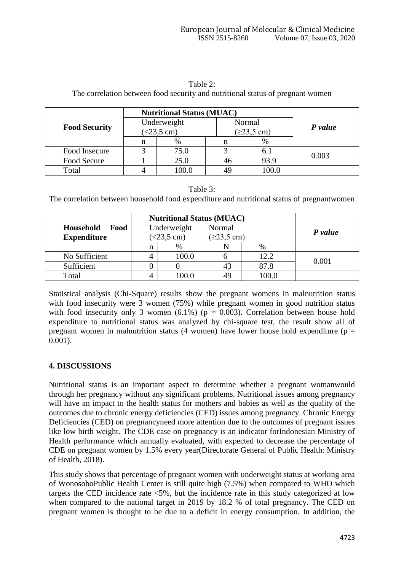|                      | <b>Nutritional Status (MUAC)</b> |                                       |        |       |         |  |
|----------------------|----------------------------------|---------------------------------------|--------|-------|---------|--|
| <b>Food Security</b> | Underweight                      |                                       | Normal |       | P value |  |
|                      |                                  | $(<23,5$ cm)<br>$(223, 5 \text{ cm})$ |        |       |         |  |
|                      | n                                | %                                     |        | $\%$  |         |  |
| Food Insecure        |                                  | 75.0                                  |        | 6.1   |         |  |
| Food Secure          |                                  | 25.0                                  | 46     | 93.9  | 0.003   |  |
| Total                |                                  | 100.0                                 |        | 100.0 |         |  |

Table 2: The correlation between food security and nutritional status of pregnant women

#### Table 3:

The correlation between household food expenditure and nutritional status of pregnantwomen

|                          | <b>Nutritional Status (MUAC)</b> |       |                       |       |         |
|--------------------------|----------------------------------|-------|-----------------------|-------|---------|
| <b>Household</b><br>Food | Underweight<br>$(<23.5$ cm)      |       | Normal                |       |         |
| <b>Expenditure</b>       |                                  |       | $(223, 5 \text{ cm})$ |       | P value |
|                          | n                                | $\%$  |                       | $\%$  |         |
| No Sufficient            |                                  | 100.0 |                       | 12.2  | 0.001   |
| Sufficient               |                                  |       | 43                    | 87.8  |         |
| Total                    |                                  | .00.0 | 49                    | 100.0 |         |

Statistical analysis (Chi-Square) results show the pregnant womens in malnutrition status with food insecurity were 3 women (75%) while pregnant women in good nutrition status with food insecurity only 3 women (6.1%) ( $p = 0.003$ ). Correlation between house hold expenditure to nutritional status was analyzed by chi-square test, the result show all of pregnant women in malnutrition status (4 women) have lower house hold expenditure ( $p =$ 0.001).

## **4. DISCUSSIONS**

Nutritional status is an important aspect to determine whether a pregnant womanwould through her pregnancy without any significant problems. Nutritional issues among pregnancy will have an impact to the health status for mothers and babies as well as the quality of the outcomes due to chronic energy deficiencies (CED) issues among pregnancy. Chronic Energy Deficiencies (CED) on pregnancyneed more attention due to the outcomes of pregnant issues like low birth weight. The CDE case on pregnancy is an indicator forIndonesian Ministry of Health performance which annually evaluated, with expected to decrease the percentage of CDE on pregnant women by 1.5% every year(Directorate General of Public Health: Ministry of Health, 2018).

This study shows that percentage of pregnant women with underweight status at working area of WonosoboPublic Health Center is still quite high (7.5%) when compared to WHO which targets the CED incidence rate <5%, but the incidence rate in this study categorized at low when compared to the national target in 2019 by 18.2 % of total pregnancy. The CED on pregnant women is thought to be due to a deficit in energy consumption. In addition, the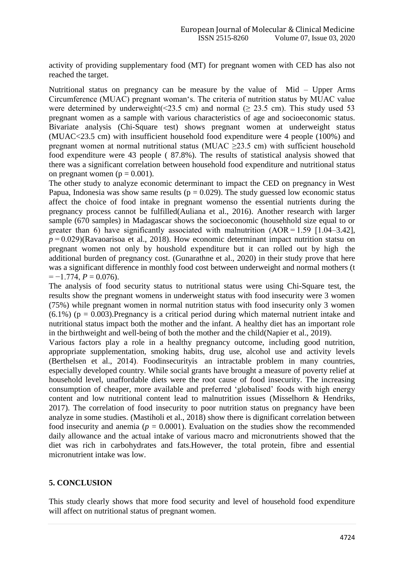activity of providing supplementary food (MT) for pregnant women with CED has also not reached the target.

Nutritional status on pregnancy can be measure by the value of Mid – Upper Arms Circumference (MUAC) pregnant woman's. The criteria of nutrition status by MUAC value were determined by underweight( $\leq$ 23.5 cm) and normal ( $\geq$ 23.5 cm). This study used 53 pregnant women as a sample with various characteristics of age and socioeconomic status. Bivariate analysis (Chi-Square test) shows pregnant women at underweight status (MUAC<23.5 cm) with insufficient household food expenditure were 4 people (100%) and pregnant women at normal nutritional status (MUAC >23.5 cm) with sufficient household food expenditure were 43 people ( 87.8%). The results of statistical analysis showed that there was a significant correlation between household food expenditure and nutritional status on pregnant women ( $p = 0.001$ ).

The other study to analyze economic determinant to impact the CED on pregnancy in West Papua, Indonesia was show same results ( $p = 0.029$ ). The study guessed low economic status affect the choice of food intake in pregnant womenso the essential nutrients during the pregnancy process cannot be fulfilled(Auliana et al., 2016). Another research with larger sample (670 samples) in Madagascar shows the socioeconomic (househhold size equal to or greater than 6) have significantly associated with malnutrition  $(AOR = 1.59 \t[1.04-3.42])$ ,  $p = 0.029$ )(Ravaoarisoa et al., 2018). How economic determinant impact nutrition statsu on pregnant women not only by houshold expenditure but it can rolled out by high the additional burden of pregnancy cost. (Gunarathne et al., 2020) in their study prove that here was a significant difference in monthly food cost between underweight and normal mothers (t  $=-1.774, P=0.076$ .

The analysis of food security status to nutritional status were using Chi-Square test, the results show the pregnant womens in underweight status with food insecurity were 3 women (75%) while pregnant women in normal nutrition status with food insecurity only 3 women  $(6.1\%)$  (p = 0.003). Pregnancy is a critical period during which maternal nutrient intake and nutritional status impact both the mother and the infant. A healthy diet has an important role in the birthweight and well-being of both the mother and the child(Napier et al., 2019).

Various factors play a role in a healthy pregnancy outcome, including good nutrition, appropriate supplementation, smoking habits, drug use, alcohol use and activity levels (Berthelsen et al., 2014). Foodinsecurityis an intractable problem in many countries, especially developed country. While social grants have brought a measure of poverty relief at household level, unaffordable diets were the root cause of food insecurity. The increasing consumption of cheaper, more available and preferred 'globalised' foods with high energy content and low nutritional content lead to malnutrition issues (Misselhorn & Hendriks, 2017). The correlation of food insecurity to poor nutrition status on pregnancy have been analyze in some studies. (Mastiholi et al., 2018) show there is dignificant correlation between food insecurity and anemia ( $p = 0.0001$ ). Evaluation on the studies show the recommended daily allowance and the actual intake of various macro and micronutrients showed that the diet was rich in carbohydrates and fats.However, the total protein, fibre and essential micronutrient intake was low.

## **5. CONCLUSION**

This study clearly shows that more food security and level of household food expenditure will affect on nutritional status of pregnant women.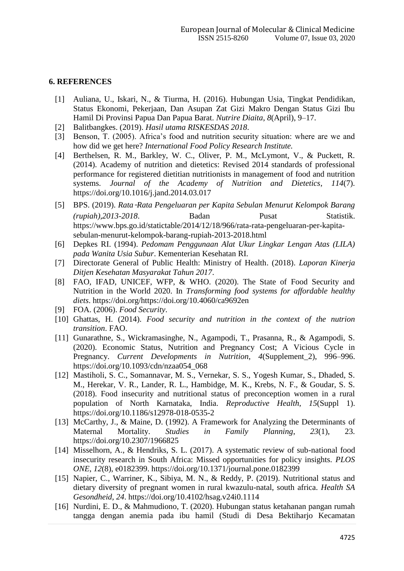### **6. REFERENCES**

- [1] Auliana, U., Iskari, N., & Tiurma, H. (2016). Hubungan Usia, Tingkat Pendidikan, Status Ekonomi, Pekerjaan, Dan Asupan Zat Gizi Makro Dengan Status Gizi Ibu Hamil Di Provinsi Papua Dan Papua Barat. *Nutrire Diaita*, *8*(April), 9–17.
- [2] Balitbangkes. (2019). *Hasil utama RISKESDAS 2018*.
- [3] Benson, T. (2005). Africa's food and nutrition security situation: where are we and how did we get here? *International Food Policy Research Institute.*
- [4] Berthelsen, R. M., Barkley, W. C., Oliver, P. M., McLymont, V., & Puckett, R. (2014). Academy of nutrition and dietetics: Revised 2014 standards of professional performance for registered dietitian nutritionists in management of food and nutrition systems. *Journal of the Academy of Nutrition and Dietetics*, *114*(7). https://doi.org/10.1016/j.jand.2014.03.017
- [5] BPS. (2019). *Rata*‑*Rata Pengeluaran per Kapita Sebulan Menurut Kelompok Barang (rupiah),2013-2018*. Badan Pusat Statistik. https://www.bps.go.id/statictable/2014/12/18/966/rata-rata-pengeluaran-per-kapitasebulan-menurut-kelompok-barang-rupiah-2013-2018.html
- [6] Depkes RI. (1994). *Pedomam Penggunaan Alat Ukur Lingkar Lengan Atas (LILA) pada Wanita Usia Subur*. Kementerian Kesehatan RI.
- [7] Directorate General of Public Health: Ministry of Health. (2018). *Laporan Kinerja Ditjen Kesehatan Masyarakat Tahun 2017*.
- [8] FAO, IFAD, UNICEF, WFP, & WHO. (2020). The State of Food Security and Nutrition in the World 2020. In *Transforming food systems for affordable healthy diets*. https://doi.org/https://doi.org/10.4060/ca9692en
- [9] FOA. (2006). *Food Security*.
- [10] Ghattas, H. (2014). *Food security and nutrition in the context of the nutrion transition*. FAO.
- [11] Gunarathne, S., Wickramasinghe, N., Agampodi, T., Prasanna, R., & Agampodi, S. (2020). Economic Status, Nutrition and Pregnancy Cost; A Vicious Cycle in Pregnancy. *Current Developments in Nutrition*, *4*(Supplement\_2), 996–996. https://doi.org/10.1093/cdn/nzaa054\_068
- [12] Mastiholi, S. C., Somannavar, M. S., Vernekar, S. S., Yogesh Kumar, S., Dhaded, S. M., Herekar, V. R., Lander, R. L., Hambidge, M. K., Krebs, N. F., & Goudar, S. S. (2018). Food insecurity and nutritional status of preconception women in a rural population of North Karnataka, India. *Reproductive Health*, *15*(Suppl 1). https://doi.org/10.1186/s12978-018-0535-2
- [13] McCarthy, J., & Maine, D. (1992). A Framework for Analyzing the Determinants of Maternal Mortality. *Studies in Family Planning*, *23*(1), 23. https://doi.org/10.2307/1966825
- [14] Misselhorn, A., & Hendriks, S. L. (2017). A systematic review of sub-national food insecurity research in South Africa: Missed opportunities for policy insights. *PLOS ONE*, *12*(8), e0182399. https://doi.org/10.1371/journal.pone.0182399
- [15] Napier, C., Warriner, K., Sibiya, M. N., & Reddy, P. (2019). Nutritional status and dietary diversity of pregnant women in rural kwazulu-natal, south africa. *Health SA Gesondheid*, *24*. https://doi.org/10.4102/hsag.v24i0.1114
- [16] Nurdini, E. D., & Mahmudiono, T. (2020). Hubungan status ketahanan pangan rumah tangga dengan anemia pada ibu hamil (Studi di Desa Bektiharjo Kecamatan